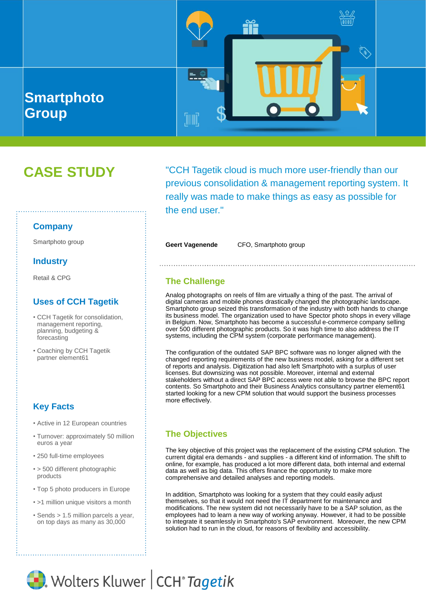

# **CASE STUDY**

"CCH Tagetik cloud is much more user-friendly than our previous consolidation & management reporting system. It really was made to make things as easy as possible for the end user."

Smartphoto group **Smartphoto group Smartphoto group Smartphoto group** Smartphoto group

### **The Challenge**

Analog photographs on reels of film are virtually a thing of the past. The arrival of digital cameras and mobile phones drastically changed the photographic landscape. Smartphoto group seized this transformation of the industry with both hands to change its business model. The organization used to have Spector photo shops in every village in Belgium. Now, Smartphoto has become a successful e-commerce company selling over 500 different photographic products. So it was high time to also address the IT systems, including the CPM system (corporate performance management).

The configuration of the outdated SAP BPC software was no longer aligned with the changed reporting requirements of the new business model, asking for a different set of reports and analysis. Digitization had also left Smartphoto with a surplus of user licenses. But downsizing was not possible. Moreover, internal and external stakeholders without a direct SAP BPC access were not able to browse the BPC report contents. So Smartphoto and their Business Analytics consultancy partner element61 started looking for a new CPM solution that would support the business processes more effectively.

### **The Objectives**

The key objective of this project was the replacement of the existing CPM solution. The current digital era demands - and supplies - a different kind of information. The shift to online, for example, has produced a lot more different data, both internal and external data as well as big data. This offers finance the opportunity to make more comprehensive and detailed analyses and reporting models.

In addition, Smartphoto was looking for a system that they could easily adjust themselves, so that it would not need the IT department for maintenance and modifications. The new system did not necessarily have to be a SAP solution, as the employees had to learn a new way of working anyway. However, it had to be possible to integrate it seamlessly in Smartphoto's SAP environment. Moreover, the new CPM solution had to run in the cloud, for reasons of flexibility and accessibility.

#### **Company**

#### **Industry**

Retail & CPG

#### **Uses of CCH Tagetik**

- CCH Tagetik for consolidation, management reporting, planning, budgeting & forecasting
- Coaching by CCH Tagetik partner element61

# **Key Facts**

- Active in 12 European countries
- Turnover: approximately 50 million euros a year
- 250 full-time employees
- > 500 different photographic products
- Top 5 photo producers in Europe
- >1 million unique visitors a month
- Sends > 1.5 million parcels a year, on top days as many as 30,000